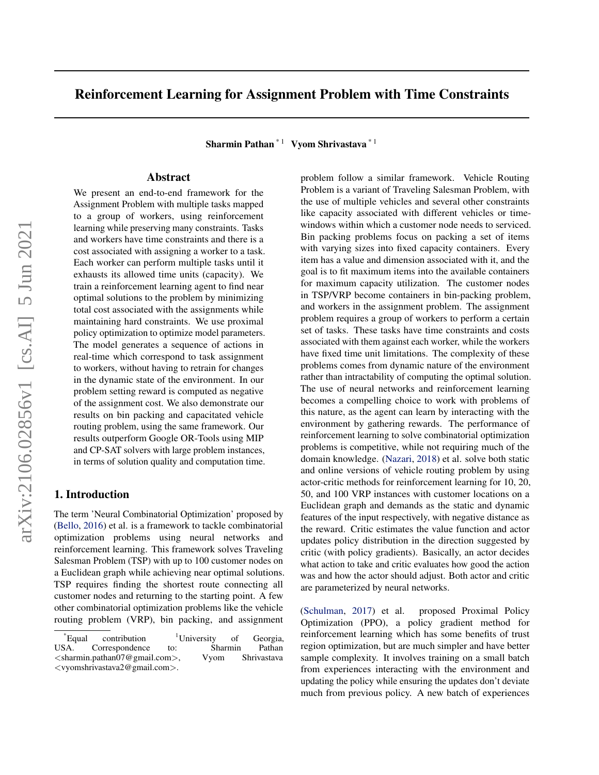# Reinforcement Learning for Assignment Problem with Time Constraints

Sharmin Pathan  $*1$  Vyom Shrivastava  $*1$ 

# Abstract

We present an end-to-end framework for the Assignment Problem with multiple tasks mapped to a group of workers, using reinforcement learning while preserving many constraints. Tasks and workers have time constraints and there is a cost associated with assigning a worker to a task. Each worker can perform multiple tasks until it exhausts its allowed time units (capacity). We train a reinforcement learning agent to find near optimal solutions to the problem by minimizing total cost associated with the assignments while maintaining hard constraints. We use proximal policy optimization to optimize model parameters. The model generates a sequence of actions in real-time which correspond to task assignment to workers, without having to retrain for changes in the dynamic state of the environment. In our problem setting reward is computed as negative of the assignment cost. We also demonstrate our results on bin packing and capacitated vehicle routing problem, using the same framework. Our results outperform Google OR-Tools using MIP and CP-SAT solvers with large problem instances, in terms of solution quality and computation time.

## 1. Introduction

The term 'Neural Combinatorial Optimization' proposed by [\(Bello,](#page-5-0) [2016\)](#page-5-0) et al. is a framework to tackle combinatorial optimization problems using neural networks and reinforcement learning. This framework solves Traveling Salesman Problem (TSP) with up to 100 customer nodes on a Euclidean graph while achieving near optimal solutions. TSP requires finding the shortest route connecting all customer nodes and returning to the starting point. A few other combinatorial optimization problems like the vehicle routing problem (VRP), bin packing, and assignment

problem follow a similar framework. Vehicle Routing Problem is a variant of Traveling Salesman Problem, with the use of multiple vehicles and several other constraints like capacity associated with different vehicles or timewindows within which a customer node needs to serviced. Bin packing problems focus on packing a set of items with varying sizes into fixed capacity containers. Every item has a value and dimension associated with it, and the goal is to fit maximum items into the available containers for maximum capacity utilization. The customer nodes in TSP/VRP become containers in bin-packing problem, and workers in the assignment problem. The assignment problem requires a group of workers to perform a certain set of tasks. These tasks have time constraints and costs associated with them against each worker, while the workers have fixed time unit limitations. The complexity of these problems comes from dynamic nature of the environment rather than intractability of computing the optimal solution. The use of neural networks and reinforcement learning becomes a compelling choice to work with problems of this nature, as the agent can learn by interacting with the environment by gathering rewards. The performance of reinforcement learning to solve combinatorial optimization problems is competitive, while not requiring much of the domain knowledge. [\(Nazari,](#page-5-0) [2018\)](#page-5-0) et al. solve both static and online versions of vehicle routing problem by using actor-critic methods for reinforcement learning for 10, 20, 50, and 100 VRP instances with customer locations on a Euclidean graph and demands as the static and dynamic features of the input respectively, with negative distance as the reward. Critic estimates the value function and actor updates policy distribution in the direction suggested by critic (with policy gradients). Basically, an actor decides what action to take and critic evaluates how good the action was and how the actor should adjust. Both actor and critic are parameterized by neural networks.

[\(Schulman,](#page-5-0) [2017\)](#page-5-0) et al. proposed Proximal Policy Optimization (PPO), a policy gradient method for reinforcement learning which has some benefits of trust region optimization, but are much simpler and have better sample complexity. It involves training on a small batch from experiences interacting with the environment and updating the policy while ensuring the updates don't deviate much from previous policy. A new batch of experiences

 $E$ qual contribution  $1$ University of Georgia, USA. Correspondence to: Sharmin Pathan <sharmin.pathan07@gmail.com>, Vyom Shrivastava <vyomshrivastava2@gmail.com>.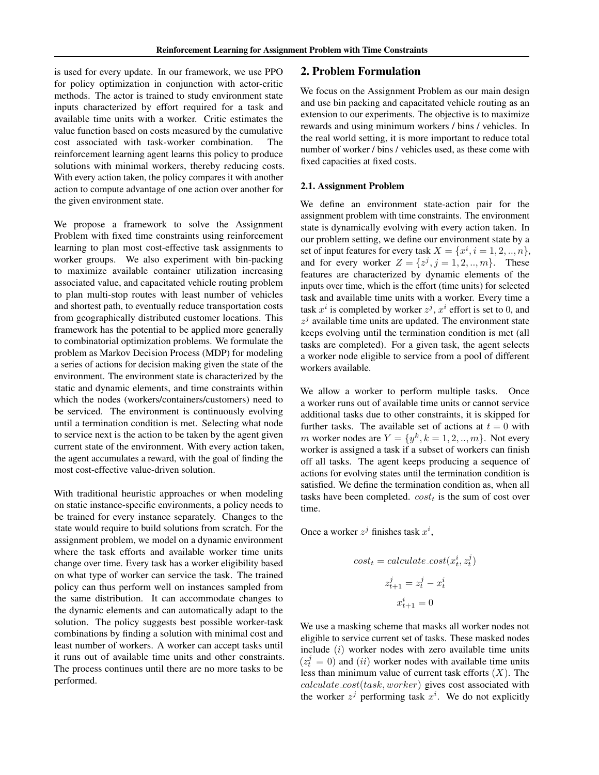is used for every update. In our framework, we use PPO for policy optimization in conjunction with actor-critic methods. The actor is trained to study environment state inputs characterized by effort required for a task and available time units with a worker. Critic estimates the value function based on costs measured by the cumulative cost associated with task-worker combination. The reinforcement learning agent learns this policy to produce solutions with minimal workers, thereby reducing costs. With every action taken, the policy compares it with another action to compute advantage of one action over another for the given environment state.

We propose a framework to solve the Assignment Problem with fixed time constraints using reinforcement learning to plan most cost-effective task assignments to worker groups. We also experiment with bin-packing to maximize available container utilization increasing associated value, and capacitated vehicle routing problem to plan multi-stop routes with least number of vehicles and shortest path, to eventually reduce transportation costs from geographically distributed customer locations. This framework has the potential to be applied more generally to combinatorial optimization problems. We formulate the problem as Markov Decision Process (MDP) for modeling a series of actions for decision making given the state of the environment. The environment state is characterized by the static and dynamic elements, and time constraints within which the nodes (workers/containers/customers) need to be serviced. The environment is continuously evolving until a termination condition is met. Selecting what node to service next is the action to be taken by the agent given current state of the environment. With every action taken, the agent accumulates a reward, with the goal of finding the most cost-effective value-driven solution.

With traditional heuristic approaches or when modeling on static instance-specific environments, a policy needs to be trained for every instance separately. Changes to the state would require to build solutions from scratch. For the assignment problem, we model on a dynamic environment where the task efforts and available worker time units change over time. Every task has a worker eligibility based on what type of worker can service the task. The trained policy can thus perform well on instances sampled from the same distribution. It can accommodate changes to the dynamic elements and can automatically adapt to the solution. The policy suggests best possible worker-task combinations by finding a solution with minimal cost and least number of workers. A worker can accept tasks until it runs out of available time units and other constraints. The process continues until there are no more tasks to be performed.

### 2. Problem Formulation

We focus on the Assignment Problem as our main design and use bin packing and capacitated vehicle routing as an extension to our experiments. The objective is to maximize rewards and using minimum workers / bins / vehicles. In the real world setting, it is more important to reduce total number of worker / bins / vehicles used, as these come with fixed capacities at fixed costs.

#### 2.1. Assignment Problem

We define an environment state-action pair for the assignment problem with time constraints. The environment state is dynamically evolving with every action taken. In our problem setting, we define our environment state by a set of input features for every task  $X = \{x^i, i = 1, 2, ..., n\},\$ and for every worker  $Z = \{z^j, j = 1, 2, ..., m\}$ . These features are characterized by dynamic elements of the inputs over time, which is the effort (time units) for selected task and available time units with a worker. Every time a task  $x^i$  is completed by worker  $z^j$ ,  $x^i$  effort is set to 0, and  $z^{j}$  available time units are updated. The environment state keeps evolving until the termination condition is met (all tasks are completed). For a given task, the agent selects a worker node eligible to service from a pool of different workers available.

We allow a worker to perform multiple tasks. Once a worker runs out of available time units or cannot service additional tasks due to other constraints, it is skipped for further tasks. The available set of actions at  $t = 0$  with m worker nodes are  $Y = \{y^k, k = 1, 2, ..., m\}$ . Not every worker is assigned a task if a subset of workers can finish off all tasks. The agent keeps producing a sequence of actions for evolving states until the termination condition is satisfied. We define the termination condition as, when all tasks have been completed.  $cost_t$  is the sum of cost over time.

Once a worker  $z^j$  finishes task  $x^i$ ,

$$
cost_t = calculate\_cost(x_t^i, z_t^j)
$$

$$
z_{t+1}^j = z_t^j - x_t^i
$$

$$
x_{t+1}^i = 0
$$

We use a masking scheme that masks all worker nodes not eligible to service current set of tasks. These masked nodes include  $(i)$  worker nodes with zero available time units  $(z_t^j = 0)$  and (ii) worker nodes with available time units less than minimum value of current task efforts  $(X)$ . The calculate cost(task, worker) gives cost associated with the worker  $z^j$  performing task  $x^i$ . We do not explicitly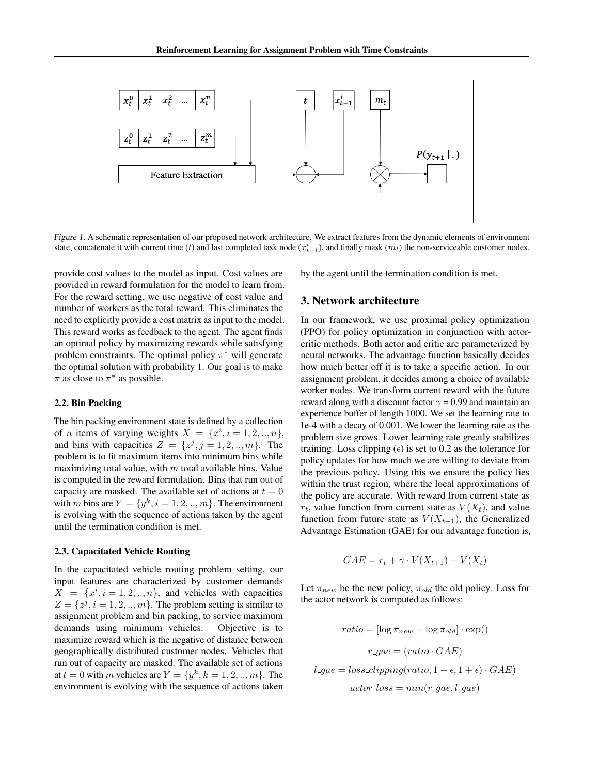<span id="page-2-0"></span>

Figure 1. A schematic representation of our proposed network architecture. We extract features from the dynamic elements of environment state, concatenate it with current time (t) and last completed task node  $(x_{t-1}^i)$ , and finally mask  $(m_t)$  the non-serviceable customer nodes.

provide cost values to the model as input. Cost values are provided in reward formulation for the model to learn from. For the reward setting, we use negative of cost value and number of workers as the total reward. This eliminates the need to explicitly provide a cost matrix as input to the model. This reward works as feedback to the agent. The agent finds an optimal policy by maximizing rewards while satisfying problem constraints. The optimal policy  $\pi^*$  will generate the optimal solution with probability 1. Our goal is to make  $\pi$  as close to  $\pi^*$  as possible.

#### 2.2. Bin Packing

The bin packing environment state is defined by a collection of *n* items of varying weights  $X = \{x^i, i = 1, 2, ..., n\},\$ and bins with capacities  $Z = \{z^j, j = 1, 2, ..., m\}$ . The problem is to fit maximum items into minimum bins while maximizing total value, with  $m$  total available bins. Value is computed in the reward formulation. Bins that run out of capacity are masked. The available set of actions at  $t = 0$ with m bins are  $Y = \{y^k, i = 1, 2, ..., m\}$ . The environment is evolving with the sequence of actions taken by the agent until the termination condition is met.

#### 2.3. Capacitated Vehicle Routing

In the capacitated vehicle routing problem setting, our input features are characterized by customer demands  $X = \{x^i, i = 1, 2, ..., n\}$ , and vehicles with capacities  $Z = \{z^j, i = 1, 2, ..., m\}$ . The problem setting is similar to assignment problem and bin packing, to service maximum demands using minimum vehicles. Objective is to maximize reward which is the negative of distance between geographically distributed customer nodes. Vehicles that run out of capacity are masked. The available set of actions at  $t = 0$  with m vehicles are  $Y = \{y^k, k = 1, 2, ..., m\}$ . The environment is evolving with the sequence of actions taken

by the agent until the termination condition is met.

# 3. Network architecture

In our framework, we use proximal policy optimization (PPO) for policy optimization in conjunction with actorcritic methods. Both actor and critic are parameterized by neural networks. The advantage function basically decides how much better off it is to take a specific action. In our assignment problem, it decides among a choice of available worker nodes. We transform current reward with the future reward along with a discount factor  $\gamma = 0.99$  and maintain an experience buffer of length 1000. We set the learning rate to 1e-4 with a decay of 0.001. We lower the learning rate as the problem size grows. Lower learning rate greatly stabilizes training. Loss clipping  $(\epsilon)$  is set to 0.2 as the tolerance for policy updates for how much we are willing to deviate from the previous policy. Using this we ensure the policy lies within the trust region, where the local approximations of the policy are accurate. With reward from current state as  $r_t$ , value function from current state as  $V(X_t)$ , and value function from future state as  $V(X_{t+1})$ , the Generalized Advantage Estimation (GAE) for our advantage function is,

$$
GAE = r_t + \gamma \cdot V(X_{t+1}) - V(X_t)
$$

Let  $\pi_{new}$  be the new policy,  $\pi_{old}$  the old policy. Loss for the actor network is computed as follows:

$$
ratio = [\log \pi_{new} - \log \pi_{old}] \cdot \exp()
$$

$$
r\_gae = (ratio \cdot GAE)
$$

$$
l\_gae = loss\_clipping(ratio, 1 - \epsilon, 1 + \epsilon) \cdot GAE)
$$

$$
actor\_loss = min(r\_gae, l\_gae)
$$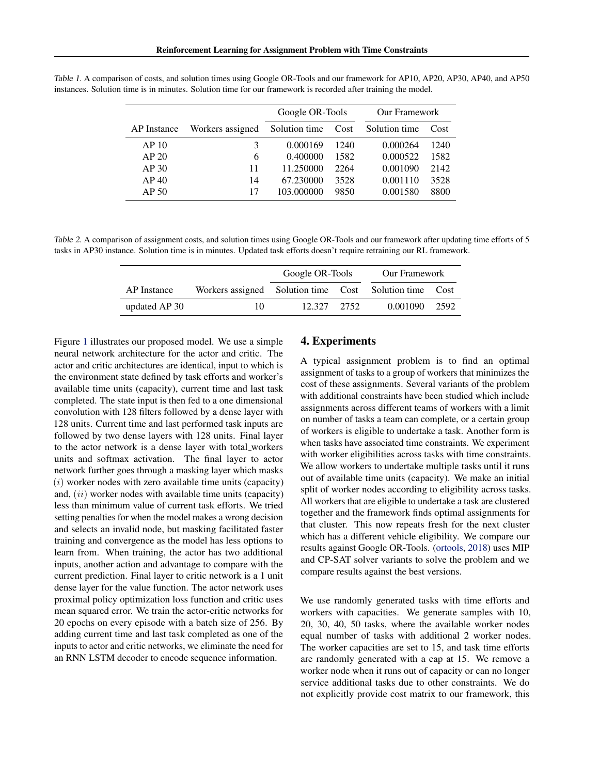|                  |                  | Google OR-Tools    |      | <b>Our Framework</b> |      |
|------------------|------------------|--------------------|------|----------------------|------|
| AP Instance      | Workers assigned | Solution time Cost |      | Solution time        | Cost |
| AP <sub>10</sub> | 3                | 0.000169           | 1240 | 0.000264             | 1240 |
| AP <sub>20</sub> | 6                | 0.400000           | 1582 | 0.000522             | 1582 |
| AP30             | 11               | 11.250000          | 2264 | 0.001090             | 2142 |
| AP40             | 14               | 67.230000          | 3528 | 0.001110             | 3528 |
| AP <sub>50</sub> | 17               | 103.000000         | 9850 | 0.001580             | 8800 |

<span id="page-3-0"></span>Table 1. A comparison of costs, and solution times using Google OR-Tools and our framework for AP10, AP20, AP30, AP40, and AP50 instances. Solution time is in minutes. Solution time for our framework is recorded after training the model.

Table 2. A comparison of assignment costs, and solution times using Google OR-Tools and our framework after updating time efforts of 5 tasks in AP30 instance. Solution time is in minutes. Updated task efforts doesn't require retraining our RL framework.

|               |                                                        | Google OR-Tools |  | <b>Our Framework</b> |  |
|---------------|--------------------------------------------------------|-----------------|--|----------------------|--|
| AP Instance   | Workers assigned Solution time Cost Solution time Cost |                 |  |                      |  |
| updated AP 30 | 10                                                     | 12.327 2.752    |  | 0.001090 2592        |  |

Figure [1](#page-2-0) illustrates our proposed model. We use a simple neural network architecture for the actor and critic. The actor and critic architectures are identical, input to which is the environment state defined by task efforts and worker's available time units (capacity), current time and last task completed. The state input is then fed to a one dimensional convolution with 128 filters followed by a dense layer with 128 units. Current time and last performed task inputs are followed by two dense layers with 128 units. Final layer to the actor network is a dense layer with total workers units and softmax activation. The final layer to actor network further goes through a masking layer which masks  $(i)$  worker nodes with zero available time units (capacity) and,  $(ii)$  worker nodes with available time units (capacity) less than minimum value of current task efforts. We tried setting penalties for when the model makes a wrong decision and selects an invalid node, but masking facilitated faster training and convergence as the model has less options to learn from. When training, the actor has two additional inputs, another action and advantage to compare with the current prediction. Final layer to critic network is a 1 unit dense layer for the value function. The actor network uses proximal policy optimization loss function and critic uses mean squared error. We train the actor-critic networks for 20 epochs on every episode with a batch size of 256. By adding current time and last task completed as one of the inputs to actor and critic networks, we eliminate the need for an RNN LSTM decoder to encode sequence information.

# 4. Experiments

A typical assignment problem is to find an optimal assignment of tasks to a group of workers that minimizes the cost of these assignments. Several variants of the problem with additional constraints have been studied which include assignments across different teams of workers with a limit on number of tasks a team can complete, or a certain group of workers is eligible to undertake a task. Another form is when tasks have associated time constraints. We experiment with worker eligibilities across tasks with time constraints. We allow workers to undertake multiple tasks until it runs out of available time units (capacity). We make an initial split of worker nodes according to eligibility across tasks. All workers that are eligible to undertake a task are clustered together and the framework finds optimal assignments for that cluster. This now repeats fresh for the next cluster which has a different vehicle eligibility. We compare our results against Google OR-Tools. [\(ortools,](#page-5-0) [2018\)](#page-5-0) uses MIP and CP-SAT solver variants to solve the problem and we compare results against the best versions.

We use randomly generated tasks with time efforts and workers with capacities. We generate samples with 10, 20, 30, 40, 50 tasks, where the available worker nodes equal number of tasks with additional 2 worker nodes. The worker capacities are set to 15, and task time efforts are randomly generated with a cap at 15. We remove a worker node when it runs out of capacity or can no longer service additional tasks due to other constraints. We do not explicitly provide cost matrix to our framework, this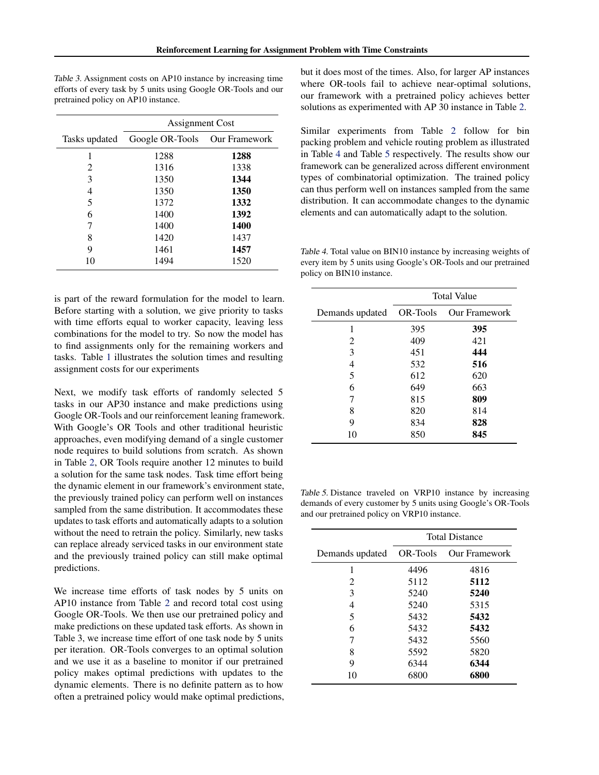Table 3. Assignment costs on AP10 instance by increasing time efforts of every task by 5 units using Google OR-Tools and our pretrained policy on AP10 instance.

|               | <b>Assignment Cost</b> |                      |  |
|---------------|------------------------|----------------------|--|
| Tasks updated | Google OR-Tools        | <b>Our Framework</b> |  |
| 1             | 1288                   | 1288                 |  |
| 2             | 1316                   | 1338                 |  |
| 3             | 1350                   | 1344                 |  |
| 4             | 1350                   | 1350                 |  |
| 5             | 1372                   | 1332                 |  |
| 6             | 1400                   | 1392                 |  |
| 7             | 1400                   | 1400                 |  |
| 8             | 1420                   | 1437                 |  |
| 9             | 1461                   | 1457                 |  |
| 10            | 1494                   | 1520                 |  |

is part of the reward formulation for the model to learn. Before starting with a solution, we give priority to tasks with time efforts equal to worker capacity, leaving less combinations for the model to try. So now the model has to find assignments only for the remaining workers and tasks. Table [1](#page-3-0) illustrates the solution times and resulting assignment costs for our experiments

Next, we modify task efforts of randomly selected 5 tasks in our AP30 instance and make predictions using Google OR-Tools and our reinforcement leaning framework. With Google's OR Tools and other traditional heuristic approaches, even modifying demand of a single customer node requires to build solutions from scratch. As shown in Table [2,](#page-3-0) OR Tools require another 12 minutes to build a solution for the same task nodes. Task time effort being the dynamic element in our framework's environment state, the previously trained policy can perform well on instances sampled from the same distribution. It accommodates these updates to task efforts and automatically adapts to a solution without the need to retrain the policy. Similarly, new tasks can replace already serviced tasks in our environment state and the previously trained policy can still make optimal predictions.

We increase time efforts of task nodes by 5 units on AP10 instance from Table [2](#page-3-0) and record total cost using Google OR-Tools. We then use our pretrained policy and make predictions on these updated task efforts. As shown in Table 3, we increase time effort of one task node by 5 units per iteration. OR-Tools converges to an optimal solution and we use it as a baseline to monitor if our pretrained policy makes optimal predictions with updates to the dynamic elements. There is no definite pattern as to how often a pretrained policy would make optimal predictions, but it does most of the times. Also, for larger AP instances where OR-tools fail to achieve near-optimal solutions, our framework with a pretrained policy achieves better solutions as experimented with AP 30 instance in Table [2.](#page-3-0)

Similar experiments from Table [2](#page-3-0) follow for bin packing problem and vehicle routing problem as illustrated in Table 4 and Table 5 respectively. The results show our framework can be generalized across different environment types of combinatorial optimization. The trained policy can thus perform well on instances sampled from the same distribution. It can accommodate changes to the dynamic elements and can automatically adapt to the solution.

Table 4. Total value on BIN10 instance by increasing weights of every item by 5 units using Google's OR-Tools and our pretrained policy on BIN10 instance.

|                           | <b>Total Value</b> |                      |  |
|---------------------------|--------------------|----------------------|--|
| Demands updated  OR-Tools |                    | <b>Our Framework</b> |  |
| 1                         | 395                | 395                  |  |
| 2                         | 409                | 421                  |  |
| 3                         | 451                | 444                  |  |
| 4                         | 532                | 516                  |  |
| 5                         | 612                | 620                  |  |
| 6                         | 649                | 663                  |  |
| 7                         | 815                | 809                  |  |
| 8                         | 820                | 814                  |  |
| 9                         | 834                | 828                  |  |
| 10                        | 850                | 845                  |  |

Table 5. Distance traveled on VRP10 instance by increasing demands of every customer by 5 units using Google's OR-Tools and our pretrained policy on VRP10 instance.

|                 | <b>Total Distance</b> |                      |  |
|-----------------|-----------------------|----------------------|--|
| Demands updated | OR-Tools              | <b>Our Framework</b> |  |
| 1               | 4496                  | 4816                 |  |
| 2               | 5112                  | 5112                 |  |
| 3               | 5240                  | 5240                 |  |
| 4               | 5240                  | 5315                 |  |
| 5               | 5432                  | 5432                 |  |
| 6               | 5432                  | 5432                 |  |
| 7               | 5432                  | 5560                 |  |
| 8               | 5592                  | 5820                 |  |
| 9               | 6344                  | 6344                 |  |
| 10              | 6800                  | 6800                 |  |